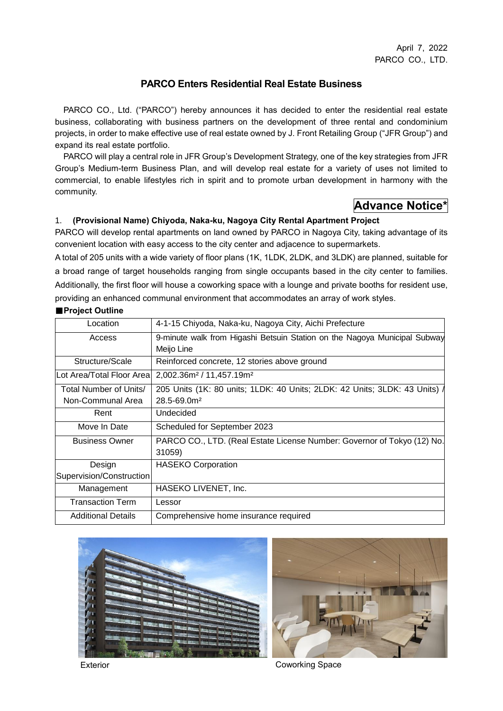### **PARCO Enters Residential Real Estate Business**

PARCO CO., Ltd. ("PARCO") hereby announces it has decided to enter the residential real estate business, collaborating with business partners on the development of three rental and condominium projects, in order to make effective use of real estate owned by J. Front Retailing Group ("JFR Group") and expand its real estate portfolio.

PARCO will play a central role in JFR Group's Development Strategy, one of the key strategies from JFR Group's Medium-term Business Plan, and will develop real estate for a variety of uses not limited to commercial, to enable lifestyles rich in spirit and to promote urban development in harmony with the community.

# **Advance Notice\***

### 1. **(Provisional Name) Chiyoda, Naka-ku, Nagoya City Rental Apartment Project**

PARCO will develop rental apartments on land owned by PARCO in Nagoya City, taking advantage of its convenient location with easy access to the city center and adjacence to supermarkets.

A total of 205 units with a wide variety of floor plans (1K, 1LDK, 2LDK, and 3LDK) are planned, suitable for a broad range of target households ranging from single occupants based in the city center to families. Additionally, the first floor will house a coworking space with a lounge and private booths for resident use, providing an enhanced communal environment that accommodates an array of work styles.

#### ■**Project Outline**

| Location                   | 4-1-15 Chiyoda, Naka-ku, Nagoya City, Aichi Prefecture                     |  |  |
|----------------------------|----------------------------------------------------------------------------|--|--|
| Access                     | 9-minute walk from Higashi Betsuin Station on the Nagoya Municipal Subway  |  |  |
|                            | Meijo Line                                                                 |  |  |
| Structure/Scale            | Reinforced concrete, 12 stories above ground                               |  |  |
| Lot Area/Total Floor Areal | $2,002.36m2 / 11,457.19m2$                                                 |  |  |
| Total Number of Units/     | 205 Units (1K: 80 units; 1LDK: 40 Units; 2LDK: 42 Units; 3LDK: 43 Units) / |  |  |
| Non-Communal Area          | $28.5 - 69.0m2$                                                            |  |  |
| Rent                       | Undecided                                                                  |  |  |
| Move In Date               | Scheduled for September 2023                                               |  |  |
| <b>Business Owner</b>      | PARCO CO., LTD. (Real Estate License Number: Governor of Tokyo (12) No.    |  |  |
|                            | 31059)                                                                     |  |  |
| Design                     | <b>HASEKO Corporation</b>                                                  |  |  |
| Supervision/Construction   |                                                                            |  |  |
| Management                 | HASEKO LIVENET, Inc.                                                       |  |  |
| <b>Transaction Term</b>    | Lessor                                                                     |  |  |
| <b>Additional Details</b>  | Comprehensive home insurance required                                      |  |  |





Exterior **Coworking Space**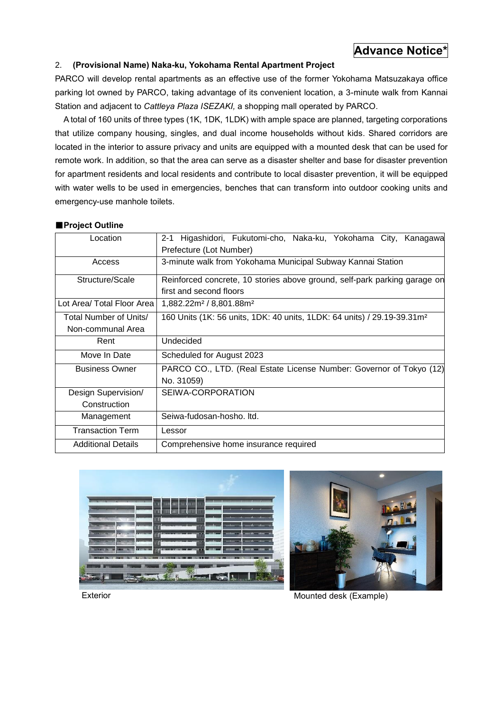## **Advance Notice\***

### 2. **(Provisional Name) Naka-ku, Yokohama Rental Apartment Project**

PARCO will develop rental apartments as an effective use of the former Yokohama Matsuzakaya office parking lot owned by PARCO, taking advantage of its convenient location, a 3-minute walk from Kannai Station and adjacent to *Cattleya Plaza ISEZAKI,* a shopping mall operated by PARCO.

A total of 160 units of three types (1K, 1DK, 1LDK) with ample space are planned, targeting corporations that utilize company housing, singles, and dual income households without kids. Shared corridors are located in the interior to assure privacy and units are equipped with a mounted desk that can be used for remote work. In addition, so that the area can serve as a disaster shelter and base for disaster prevention for apartment residents and local residents and contribute to local disaster prevention, it will be equipped with water wells to be used in emergencies, benches that can transform into outdoor cooking units and emergency-use manhole toilets.

### ■**Project Outline**

| Location                   | 2-1 Higashidori, Fukutomi-cho, Naka-ku, Yokohama City, Kanagawa                     |  |  |
|----------------------------|-------------------------------------------------------------------------------------|--|--|
|                            | Prefecture (Lot Number)                                                             |  |  |
| Access                     | 3-minute walk from Yokohama Municipal Subway Kannai Station                         |  |  |
| Structure/Scale            | Reinforced concrete, 10 stories above ground, self-park parking garage on           |  |  |
|                            | first and second floors                                                             |  |  |
| Lot Area/ Total Floor Area | 1,882.22m <sup>2</sup> / 8,801.88m <sup>2</sup>                                     |  |  |
| Total Number of Units/     | 160 Units (1K: 56 units, 1DK: 40 units, 1LDK: 64 units) / 29.19-39.31m <sup>2</sup> |  |  |
| Non-communal Area          |                                                                                     |  |  |
| Rent                       | Undecided                                                                           |  |  |
| Move In Date               | Scheduled for August 2023                                                           |  |  |
| <b>Business Owner</b>      | PARCO CO., LTD. (Real Estate License Number: Governor of Tokyo (12)                 |  |  |
|                            | No. 31059)                                                                          |  |  |
| Design Supervision/        | SEIWA-CORPORATION                                                                   |  |  |
| Construction               |                                                                                     |  |  |
| Management                 | Seiwa-fudosan-hosho. Itd.                                                           |  |  |
| <b>Transaction Term</b>    | Lessor                                                                              |  |  |
| <b>Additional Details</b>  | Comprehensive home insurance required                                               |  |  |





Exterior Mounted desk (Example)